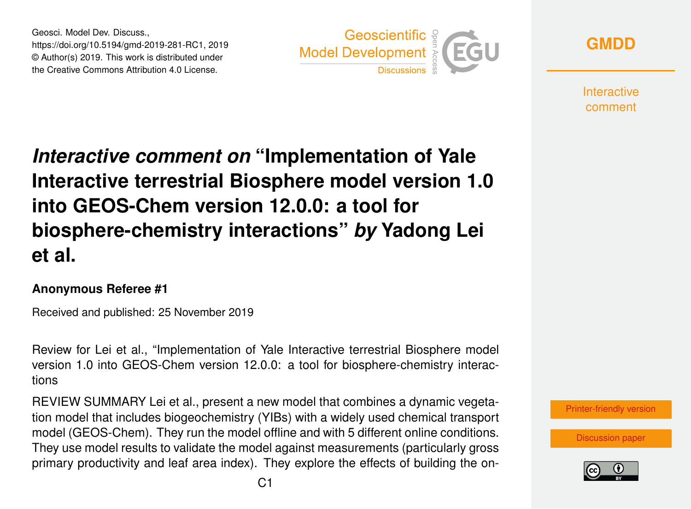Geosci. Model Dev. Discuss., https://doi.org/10.5194/gmd-2019-281-RC1, 2019 © Author(s) 2019. This work is distributed under the Creative Commons Attribution 4.0 License.





**Interactive** comment

## *Interactive comment on* **"Implementation of Yale Interactive terrestrial Biosphere model version 1.0 into GEOS-Chem version 12.0.0: a tool for biosphere-chemistry interactions"** *by* **Yadong Lei et al.**

## **Anonymous Referee #1**

Received and published: 25 November 2019

Review for Lei et al., "Implementation of Yale Interactive terrestrial Biosphere model version 1.0 into GEOS-Chem version 12.0.0: a tool for biosphere-chemistry interactions

REVIEW SUMMARY Lei et al., present a new model that combines a dynamic vegetation model that includes biogeochemistry (YIBs) with a widely used chemical transport model (GEOS-Chem). They run the model offline and with 5 different online conditions. They use model results to validate the model against measurements (particularly gross primary productivity and leaf area index). They explore the effects of building the on-



[Discussion paper](https://www.geosci-model-dev-discuss.net/gmd-2019-281)

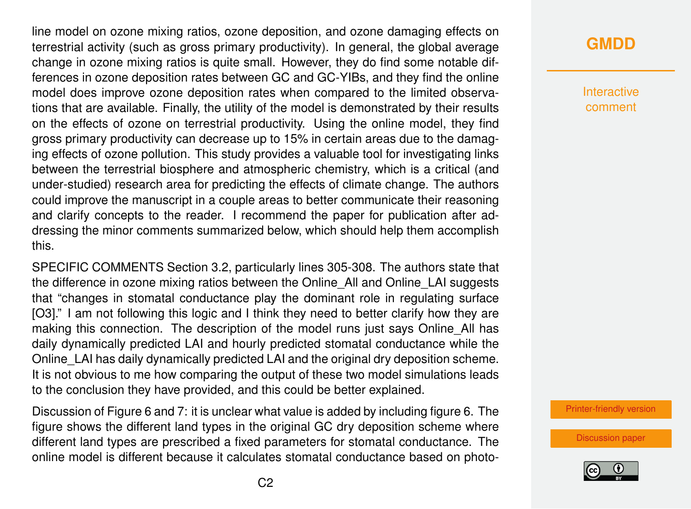line model on ozone mixing ratios, ozone deposition, and ozone damaging effects on terrestrial activity (such as gross primary productivity). In general, the global average change in ozone mixing ratios is quite small. However, they do find some notable differences in ozone deposition rates between GC and GC-YIBs, and they find the online model does improve ozone deposition rates when compared to the limited observations that are available. Finally, the utility of the model is demonstrated by their results on the effects of ozone on terrestrial productivity. Using the online model, they find gross primary productivity can decrease up to 15% in certain areas due to the damaging effects of ozone pollution. This study provides a valuable tool for investigating links between the terrestrial biosphere and atmospheric chemistry, which is a critical (and under-studied) research area for predicting the effects of climate change. The authors could improve the manuscript in a couple areas to better communicate their reasoning and clarify concepts to the reader. I recommend the paper for publication after addressing the minor comments summarized below, which should help them accomplish this.

SPECIFIC COMMENTS Section 3.2, particularly lines 305-308. The authors state that the difference in ozone mixing ratios between the Online\_All and Online\_LAI suggests that "changes in stomatal conductance play the dominant role in regulating surface [O3]." I am not following this logic and I think they need to better clarify how they are making this connection. The description of the model runs just says Online All has daily dynamically predicted LAI and hourly predicted stomatal conductance while the Online LAI has daily dynamically predicted LAI and the original dry deposition scheme. It is not obvious to me how comparing the output of these two model simulations leads to the conclusion they have provided, and this could be better explained.

Discussion of Figure 6 and 7: it is unclear what value is added by including figure 6. The figure shows the different land types in the original GC dry deposition scheme where different land types are prescribed a fixed parameters for stomatal conductance. The online model is different because it calculates stomatal conductance based on photo-

## **[GMDD](https://www.geosci-model-dev-discuss.net/)**

Interactive comment

[Printer-friendly version](https://www.geosci-model-dev-discuss.net/gmd-2019-281/gmd-2019-281-RC1-print.pdf)

[Discussion paper](https://www.geosci-model-dev-discuss.net/gmd-2019-281)